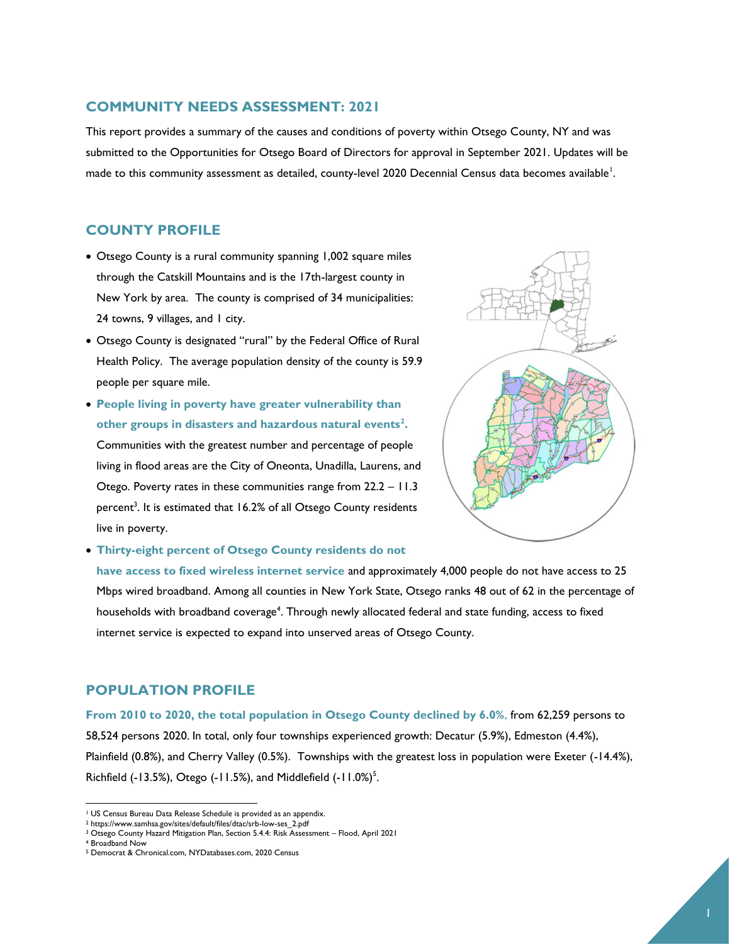### **COMMUNITY NEEDS ASSESSMENT: 2021**

This report provides a summary of the causes and conditions of poverty within Otsego County, NY and was submitted to the Opportunities for Otsego Board of Directors for approval in September 2021. Updates will be made to this community assessment as detailed, county-level 2020 Decennial Census data becomes available<sup>1</sup>.

# **COUNTY PROFILE**

- Otsego County is a rural community spanning 1,002 square miles through the Catskill Mountains and is the 17th-largest county in New York by area. The county is comprised of 34 municipalities: 24 towns, 9 villages, and 1 city.
- Otsego County is designated "rural" by the Federal Office of Rural Health Policy. The average population density of the county is 59.9 people per square mile.
- **People living in poverty have greater vulnerability than other groups in disasters and hazardous natural events<sup>2</sup> .** Communities with the greatest number and percentage of people living in flood areas are the City of Oneonta, Unadilla, Laurens, and Otego. Poverty rates in these communities range from 22.2 – 11.3 percent<sup>3</sup>. It is estimated that 16.2% of all Otsego County residents live in poverty.



#### **Thirty-eight percent of Otsego County residents do not**

**have access to fixed wireless internet service** and approximately 4,000 people do not have access to 25 Mbps wired broadband. Among all counties in New York State, Otsego ranks 48 out of 62 in the percentage of households with broadband coverage<sup>4</sup>. Through newly allocated federal and state funding, access to fixed internet service is expected to expand into unserved areas of Otsego County.

### **POPULATION PROFILE**

**From 2010 to 2020, the total population in Otsego County declined by 6.0%**, from 62,259 persons to 58,524 persons 2020. In total, only four townships experienced growth: Decatur (5.9%), Edmeston (4.4%), Plainfield (0.8%), and Cherry Valley (0.5%). Townships with the greatest loss in population were Exeter (-14.4%), Richfield (-13.5%), Otego (-11.5%), and Middlefield (-11.0%)<sup>5</sup>.

<sup>4</sup> Broadband Now

 $\overline{a}$ 

<sup>1</sup> US Census Bureau Data Release Schedule is provided as an appendix.

<sup>2</sup> https://www.samhsa.gov/sites/default/files/dtac/srb-low-ses\_2.pdf

<sup>3</sup> Otsego County Hazard Mitigation Plan, Section 5.4.4: Risk Assessment – Flood, April 2021

<sup>5</sup> Democrat & Chronical.com, NYDatabases.com, 2020 Census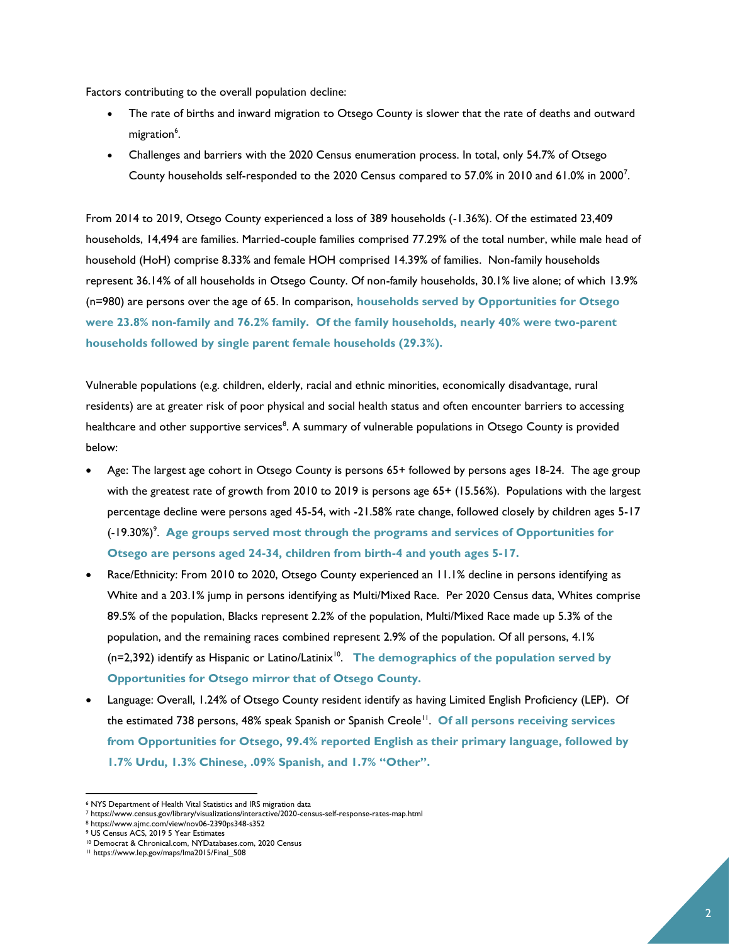Factors contributing to the overall population decline:

- The rate of births and inward migration to Otsego County is slower that the rate of deaths and outward migration<sup>6</sup>.
- Challenges and barriers with the 2020 Census enumeration process. In total, only 54.7% of Otsego County households self-responded to the 2020 Census compared to 57.0% in 2010 and 61.0% in 2000<sup>7</sup>.

From 2014 to 2019, Otsego County experienced a loss of 389 households (-1.36%). Of the estimated 23,409 households, 14,494 are families. Married-couple families comprised 77.29% of the total number, while male head of household (HoH) comprise 8.33% and female HOH comprised 14.39% of families. Non-family households represent 36.14% of all households in Otsego County. Of non-family households, 30.1% live alone; of which 13.9% (n=980) are persons over the age of 65. In comparison, **households served by Opportunities for Otsego were 23.8% non-family and 76.2% family. Of the family households, nearly 40% were two-parent households followed by single parent female households (29.3%).**

Vulnerable populations (e.g. children, elderly, racial and ethnic minorities, economically disadvantage, rural residents) are at greater risk of poor physical and social health status and often encounter barriers to accessing healthcare and other supportive services<sup>8</sup>. A summary of vulnerable populations in Otsego County is provided below:

- Age: The largest age cohort in Otsego County is persons 65+ followed by persons ages 18-24. The age group with the greatest rate of growth from 2010 to 2019 is persons age 65+ (15.56%). Populations with the largest percentage decline were persons aged 45-54, with -21.58% rate change, followed closely by children ages 5-17 (-19.30%)<sup>9</sup>. Age groups served most through the programs and services of Opportunities for **Otsego are persons aged 24-34, children from birth-4 and youth ages 5-17.**
- Race/Ethnicity: From 2010 to 2020, Otsego County experienced an 11.1% decline in persons identifying as White and a 203.1% jump in persons identifying as Multi/Mixed Race. Per 2020 Census data, Whites comprise 89.5% of the population, Blacks represent 2.2% of the population, Multi/Mixed Race made up 5.3% of the population, and the remaining races combined represent 2.9% of the population. Of all persons, 4.1% (n=2,392) identify as Hispanic or Latino/Latinix<sup>10</sup>. The demographics of the population served by **Opportunities for Otsego mirror that of Otsego County.**
- Language: Overall, 1.24% of Otsego County resident identify as having Limited English Proficiency (LEP). Of the estimated 738 persons, 48% speak Spanish or Spanish Creole<sup>11</sup>. Of all persons receiving services **from Opportunities for Otsego, 99.4% reported English as their primary language, followed by 1.7% Urdu, 1.3% Chinese, .09% Spanish, and 1.7% "Other".**

<sup>&</sup>lt;u>.</u><br>6 NYS Department of Health Vital Statistics and IRS migration data

<sup>7</sup> https://www.census.gov/library/visualizations/interactive/2020-census-self-response-rates-map.html

<sup>8</sup> https://www.ajmc.com/view/nov06-2390ps348-s352

<sup>9</sup> US Census ACS, 2019 5 Year Estimates

<sup>10</sup> Democrat & Chronical.com, NYDatabases.com, 2020 Census

<sup>11</sup> https://www.lep.gov/maps/lma2015/Final\_508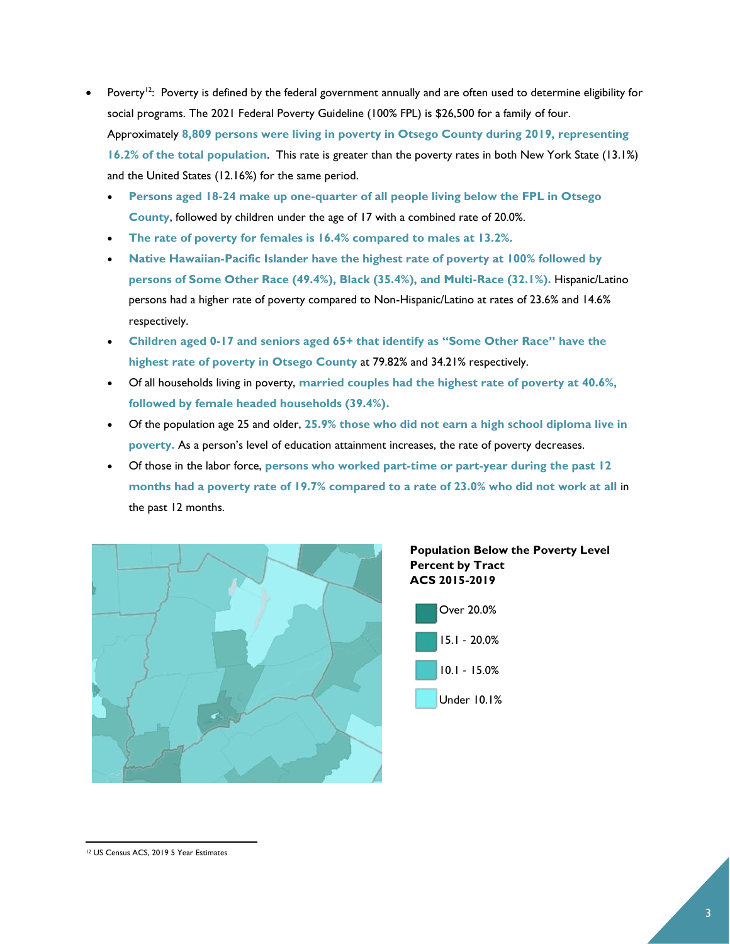- Poverty<sup>12</sup>: Poverty is defined by the federal government annually and are often used to determine eligibility for social programs. The 2021 Federal Poverty Guideline (100% FPL) is \$26,500 for a family of four. Approximately **8,809 persons were living in poverty in Otsego County during 2019, representing 16.2% of the total population**. This rate is greater than the poverty rates in both New York State (13.1%) and the United States (12.16%) for the same period.
	- **Persons aged 18-24 make up one-quarter of all people living below the FPL in Otsego County**, followed by children under the age of 17 with a combined rate of 20.0%.
	- **The rate of poverty for females is 16.4% compared to males at 13.2%.**
	- **Native Hawaiian-Pacific Islander have the highest rate of poverty at 100% followed by persons of Some Other Race (49.4%), Black (35.4%), and Multi-Race (32.1%).** Hispanic/Latino persons had a higher rate of poverty compared to Non-Hispanic/Latino at rates of 23.6% and 14.6% respectively.
	- **Children aged 0-17 and seniors aged 65+ that identify as "Some Other Race" have the highest rate of poverty in Otsego County** at 79.82% and 34.21% respectively.
	- Of all households living in poverty, **married couples had the highest rate of poverty at 40.6%, followed by female headed households (39.4%).**
	- Of the population age 25 and older, **25.9% those who did not earn a high school diploma live in poverty.** As a person's level of education attainment increases, the rate of poverty decreases.
	- Of those in the labor force, **persons who worked part-time or part-year during the past 12 months had a poverty rate of 19.7% compared to a rate of 23.0% who did not work at all** in the past 12 months.







12 US Census ACS, 2019 5 Year Estimates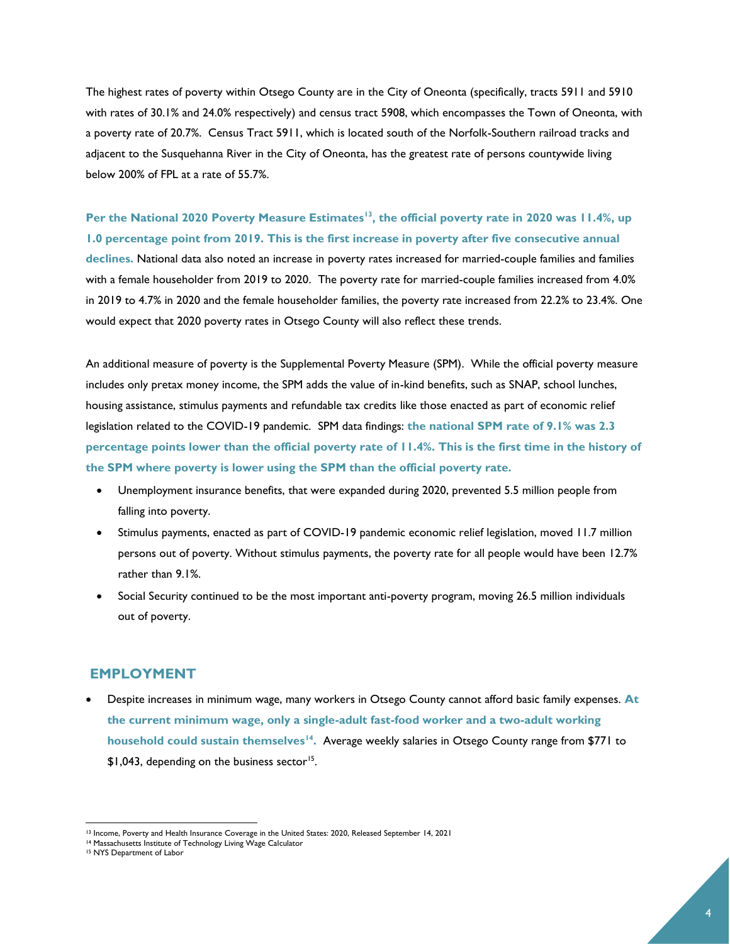The highest rates of poverty within Otsego County are in the City of Oneonta (specifically, tracts 5911 and 5910 with rates of 30.1% and 24.0% respectively) and census tract 5908, which encompasses the Town of Oneonta, with a poverty rate of 20.7%. Census Tract 5911, which is located south of the Norfolk-Southern railroad tracks and adjacent to the Susquehanna River in the City of Oneonta, has the greatest rate of persons countywide living below 200% of FPL at a rate of 55.7%.

Per the National 2020 Poverty Measure Estimates<sup>13</sup>, the official poverty rate in 2020 was 11.4%, up **1.0 percentage point from 2019. This is the first increase in poverty after five consecutive annual declines.** National data also noted an increase in poverty rates increased for married-couple families and families with a female householder from 2019 to 2020. The poverty rate for married-couple families increased from 4.0% in 2019 to 4.7% in 2020 and the female householder families, the poverty rate increased from 22.2% to 23.4%. One would expect that 2020 poverty rates in Otsego County will also reflect these trends.

An additional measure of poverty is the Supplemental Poverty Measure (SPM). While the official poverty measure includes only pretax money income, the SPM adds the value of in-kind benefits, such as SNAP, school lunches, housing assistance, stimulus payments and refundable tax credits like those enacted as part of economic relief legislation related to the COVID-19 pandemic. SPM data findings: **the national SPM rate of 9.1% was 2.3 percentage points lower than the official poverty rate of 11.4%. This is the first time in the history of the SPM where poverty is lower using the SPM than the official poverty rate.**

- Unemployment insurance benefits, that were expanded during 2020, prevented 5.5 million people from falling into poverty.
- Stimulus payments, enacted as part of COVID-19 pandemic economic relief legislation, moved 11.7 million persons out of poverty. Without stimulus payments, the poverty rate for all people would have been 12.7% rather than 9.1%.
- Social Security continued to be the most important anti-poverty program, moving 26.5 million individuals out of poverty.

## **EMPLOYMENT**

 Despite increases in minimum wage, many workers in Otsego County cannot afford basic family expenses. **At the current minimum wage, only a single-adult fast-food worker and a two-adult working household could sustain themselves<sup>14</sup> .** Average weekly salaries in Otsego County range from \$771 to  $$1,043$ , depending on the business sector<sup>15</sup>.

<sup>13</sup> Income, Poverty and Health Insurance Coverage in the United States: 2020, Released September 14, 2021

<sup>14</sup> Massachusetts Institute of Technology Living Wage Calculator

<sup>15</sup> NYS Department of Labor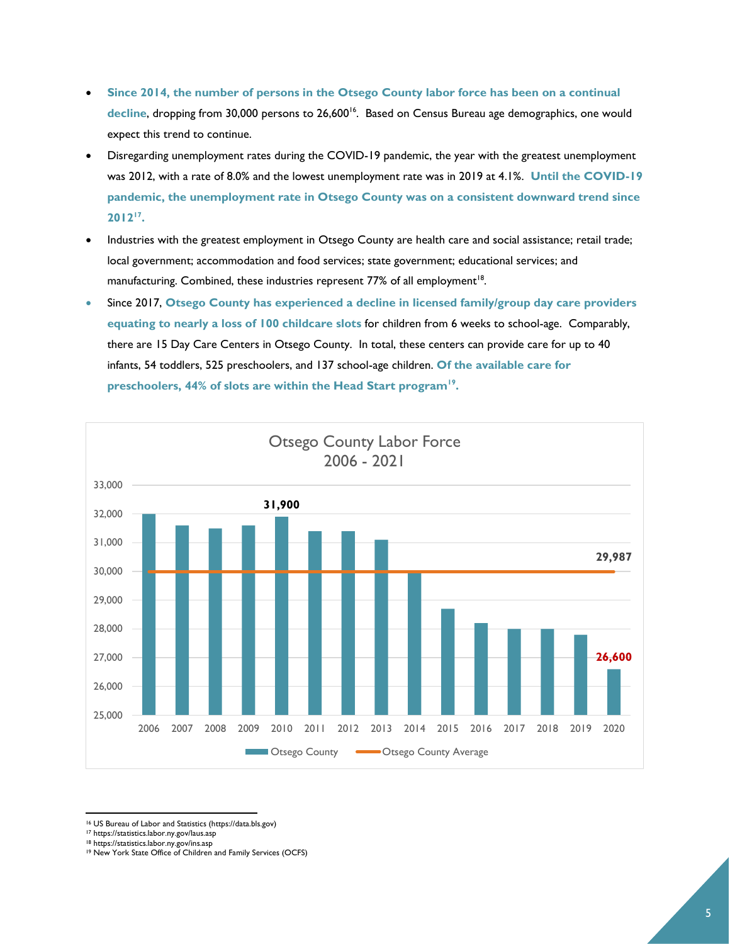- **Since 2014, the number of persons in the Otsego County labor force has been on a continual**  decline, dropping from 30,000 persons to 26,600<sup>16</sup>. Based on Census Bureau age demographics, one would expect this trend to continue.
- Disregarding unemployment rates during the COVID-19 pandemic, the year with the greatest unemployment was 2012, with a rate of 8.0% and the lowest unemployment rate was in 2019 at 4.1%. **Until the COVID-19 pandemic, the unemployment rate in Otsego County was on a consistent downward trend since 2012<sup>17</sup> .**
- Industries with the greatest employment in Otsego County are health care and social assistance; retail trade; local government; accommodation and food services; state government; educational services; and manufacturing. Combined, these industries represent 77% of all employment<sup>18</sup>.
- Since 2017, **Otsego County has experienced a decline in licensed family/group day care providers equating to nearly a loss of 100 childcare slots** for children from 6 weeks to school-age. Comparably, there are 15 Day Care Centers in Otsego County. In total, these centers can provide care for up to 40 infants, 54 toddlers, 525 preschoolers, and 137 school-age children. **Of the available care for preschoolers, 44% of slots are within the Head Start program<sup>19</sup> .**



 $\overline{\phantom{a}}$ <sup>16</sup> US Bureau of Labor and Statistics (https://data.bls.gov)

<sup>18</sup> https://statistics.labor.ny.gov/ins.asp

<sup>17</sup> https://statistics.labor.ny.gov/laus.asp

<sup>19</sup> New York State Office of Children and Family Services (OCFS)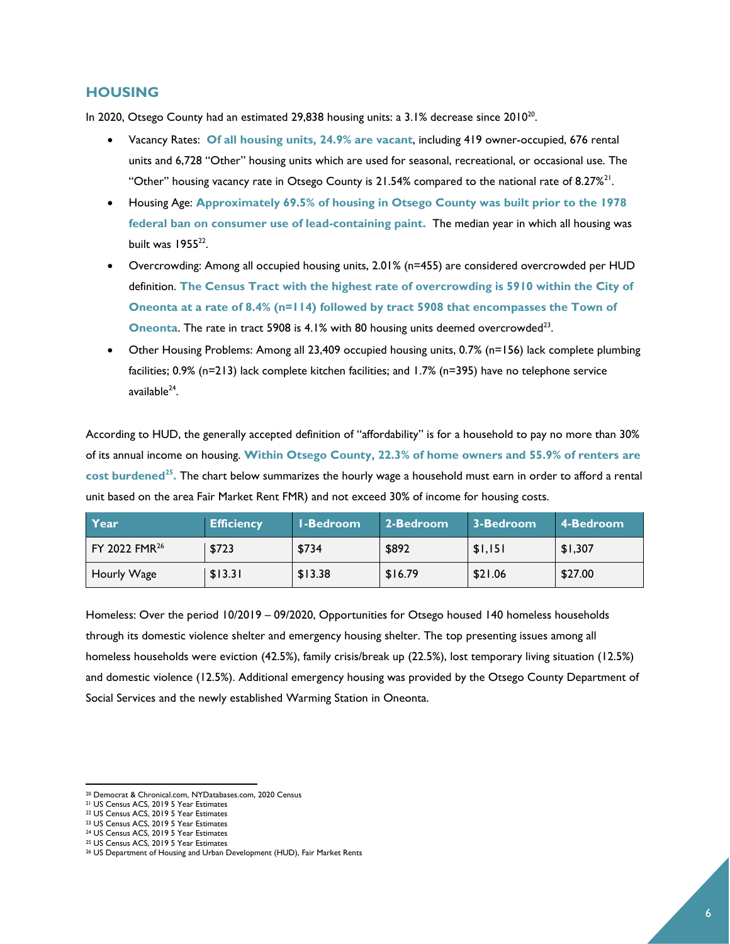# **HOUSING**

In 2020, Otsego County had an estimated 29,838 housing units: a 3.1% decrease since 2010 $^{20}$ .

- Vacancy Rates: **Of all housing units, 24.9% are vacant**, including 419 owner-occupied, 676 rental units and 6,728 "Other" housing units which are used for seasonal, recreational, or occasional use. The "Other" housing vacancy rate in Otsego County is  $21.54\%$  compared to the national rate of 8.27%<sup>21</sup>.
- Housing Age: **Approximately 69.5% of housing in Otsego County was built prior to the 1978 federal ban on consumer use of lead-containing paint.** The median year in which all housing was built was  $1955^{22}$ .
- Overcrowding: Among all occupied housing units, 2.01% (n=455) are considered overcrowded per HUD definition. **The Census Tract with the highest rate of overcrowding is 5910 within the City of Oneonta at a rate of 8.4% (n=114) followed by tract 5908 that encompasses the Town of**  Oneonta. The rate in tract 5908 is 4.1% with 80 housing units deemed overcrowded<sup>23</sup>.
- Other Housing Problems: Among all 23,409 occupied housing units, 0.7% (n=156) lack complete plumbing facilities; 0.9% (n=213) lack complete kitchen facilities; and 1.7% (n=395) have no telephone service available<sup>24</sup>.

According to HUD, the generally accepted definition of "affordability" is for a household to pay no more than 30% of its annual income on housing. **Within Otsego County, 22.3% of home owners and 55.9% of renters are cost burdened<sup>25</sup> .** The chart below summarizes the hourly wage a household must earn in order to afford a rental unit based on the area Fair Market Rent FMR) and not exceed 30% of income for housing costs.

| Year                      | <b>Efficiency</b> | <b>I-Bedroom</b> | 2-Bedroom | 3-Bedroom | 4-Bedroom |
|---------------------------|-------------------|------------------|-----------|-----------|-----------|
| FY 2022 FMR <sup>26</sup> | \$723             | \$734            | \$892     | \$1,151   | \$1,307   |
| Hourly Wage               | \$13.31           | \$13.38          | \$16.79   | \$21.06   | \$27.00   |

Homeless: Over the period 10/2019 – 09/2020, Opportunities for Otsego housed 140 homeless households through its domestic violence shelter and emergency housing shelter. The top presenting issues among all homeless households were eviction (42.5%), family crisis/break up (22.5%), lost temporary living situation (12.5%) and domestic violence (12.5%). Additional emergency housing was provided by the Otsego County Department of Social Services and the newly established Warming Station in Oneonta.

 <sup>20</sup> Democrat & Chronical.com, NYDatabases.com, 2020 Census

<sup>21</sup> US Census ACS, 2019 5 Year Estimates

<sup>22</sup> US Census ACS, 2019 5 Year Estimates

<sup>23</sup> US Census ACS, 2019 5 Year Estimates

<sup>24</sup> US Census ACS, 2019 5 Year Estimates <sup>25</sup> US Census ACS, 2019 5 Year Estimates

<sup>26</sup> US Department of Housing and Urban Development (HUD), Fair Market Rents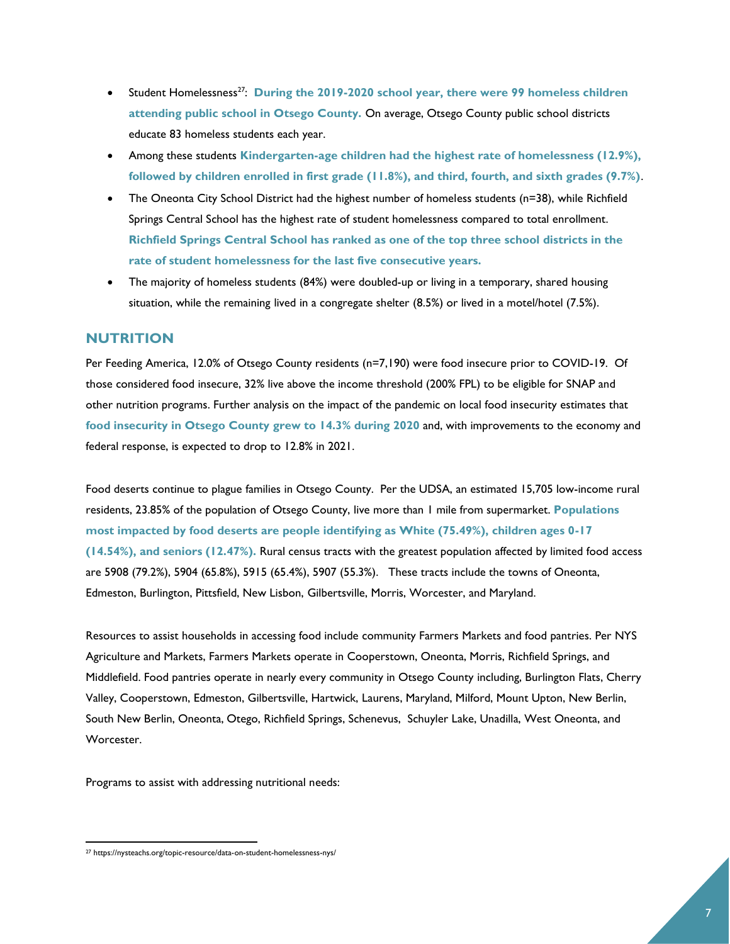- Student Homelessness<sup>27</sup>: During the 2019-2020 school year, there were 99 homeless children **attending public school in Otsego County.** On average, Otsego County public school districts educate 83 homeless students each year.
- Among these students **Kindergarten-age children had the highest rate of homelessness (12.9%), followed by children enrolled in first grade (11.8%), and third, fourth, and sixth grades (9.7%)**.
- The Oneonta City School District had the highest number of homeless students (n=38), while Richfield Springs Central School has the highest rate of student homelessness compared to total enrollment. **Richfield Springs Central School has ranked as one of the top three school districts in the rate of student homelessness for the last five consecutive years.**
- The majority of homeless students (84%) were doubled-up or living in a temporary, shared housing situation, while the remaining lived in a congregate shelter (8.5%) or lived in a motel/hotel (7.5%).

### **NUTRITION**

Per Feeding America, 12.0% of Otsego County residents (n=7,190) were food insecure prior to COVID-19. Of those considered food insecure, 32% live above the income threshold (200% FPL) to be eligible for SNAP and other nutrition programs. Further analysis on the impact of the pandemic on local food insecurity estimates that **food insecurity in Otsego County grew to 14.3% during 2020** and, with improvements to the economy and federal response, is expected to drop to 12.8% in 2021.

Food deserts continue to plague families in Otsego County. Per the UDSA, an estimated 15,705 low-income rural residents, 23.85% of the population of Otsego County, live more than 1 mile from supermarket. **Populations most impacted by food deserts are people identifying as White (75.49%), children ages 0-17 (14.54%), and seniors (12.47%).** Rural census tracts with the greatest population affected by limited food access are 5908 (79.2%), 5904 (65.8%), 5915 (65.4%), 5907 (55.3%). These tracts include the towns of Oneonta, Edmeston, Burlington, Pittsfield, New Lisbon, Gilbertsville, Morris, Worcester, and Maryland.

Resources to assist households in accessing food include community Farmers Markets and food pantries. Per NYS Agriculture and Markets, Farmers Markets operate in Cooperstown, Oneonta, Morris, Richfield Springs, and Middlefield. Food pantries operate in nearly every community in Otsego County including, Burlington Flats, Cherry Valley, Cooperstown, Edmeston, Gilbertsville, Hartwick, Laurens, Maryland, Milford, Mount Upton, New Berlin, South New Berlin, Oneonta, Otego, Richfield Springs, Schenevus, Schuyler Lake, Unadilla, West Oneonta, and Worcester.

Programs to assist with addressing nutritional needs:

 <sup>27</sup> https://nysteachs.org/topic-resource/data-on-student-homelessness-nys/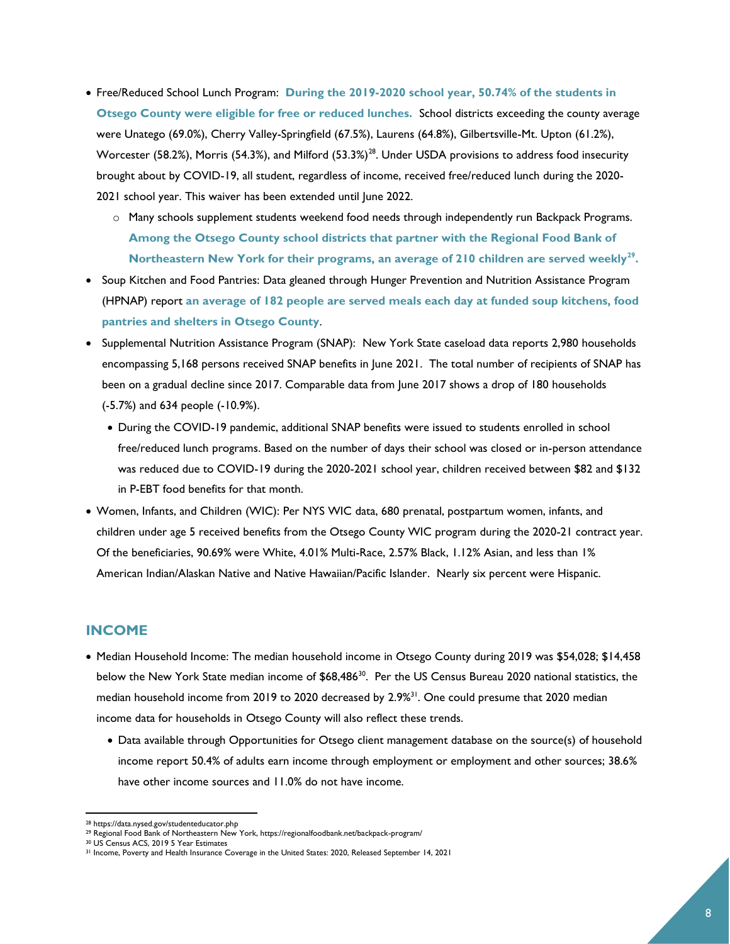- Free/Reduced School Lunch Program: **During the 2019-2020 school year, 50.74% of the students in Otsego County were eligible for free or reduced lunches.** School districts exceeding the county average were Unatego (69.0%), Cherry Valley-Springfield (67.5%), Laurens (64.8%), Gilbertsville-Mt. Upton (61.2%), Worcester (58.2%), Morris (54.3%), and Milford (53.3%)<sup>28</sup>. Under USDA provisions to address food insecurity brought about by COVID-19, all student, regardless of income, received free/reduced lunch during the 2020- 2021 school year. This waiver has been extended until June 2022.
	- o Many schools supplement students weekend food needs through independently run Backpack Programs. **Among the Otsego County school districts that partner with the Regional Food Bank of Northeastern New York for their programs, an average of 210 children are served weekly<sup>29</sup> .**
- Soup Kitchen and Food Pantries: Data gleaned through Hunger Prevention and Nutrition Assistance Program (HPNAP) report **an average of 182 people are served meals each day at funded soup kitchens, food pantries and shelters in Otsego County**.
- Supplemental Nutrition Assistance Program (SNAP): New York State caseload data reports 2,980 households encompassing 5,168 persons received SNAP benefits in June 2021. The total number of recipients of SNAP has been on a gradual decline since 2017. Comparable data from June 2017 shows a drop of 180 households (-5.7%) and 634 people (-10.9%).
	- During the COVID-19 pandemic, additional SNAP benefits were issued to students enrolled in school free/reduced lunch programs. Based on the number of days their school was closed or in-person attendance was reduced due to COVID-19 during the 2020-2021 school year, children received between \$82 and \$132 in P-EBT food benefits for that month.
- Women, Infants, and Children (WIC): Per NYS WIC data, 680 prenatal, postpartum women, infants, and children under age 5 received benefits from the Otsego County WIC program during the 2020-21 contract year. Of the beneficiaries, 90.69% were White, 4.01% Multi-Race, 2.57% Black, 1.12% Asian, and less than 1% American Indian/Alaskan Native and Native Hawaiian/Pacific Islander. Nearly six percent were Hispanic.

# **INCOME**

- Median Household Income: The median household income in Otsego County during 2019 was \$54,028; \$14,458 below the New York State median income of \$68,486<sup>30</sup>. Per the US Census Bureau 2020 national statistics, the median household income from 2019 to 2020 decreased by 2.9%<sup>31</sup>. One could presume that 2020 median income data for households in Otsego County will also reflect these trends.
	- Data available through Opportunities for Otsego client management database on the source(s) of household income report 50.4% of adults earn income through employment or employment and other sources; 38.6% have other income sources and 11.0% do not have income.

 $\overline{\phantom{a}}$ <sup>28</sup> https://data.nysed.gov/studenteducator.php

<sup>&</sup>lt;sup>29</sup> Regional Food Bank of Northeastern New York, https://regionalfoodbank.net/backpack-program/

<sup>30</sup> US Census ACS, 2019 5 Year Estimates

<sup>31</sup> Income, Poverty and Health Insurance Coverage in the United States: 2020, Released September 14, 2021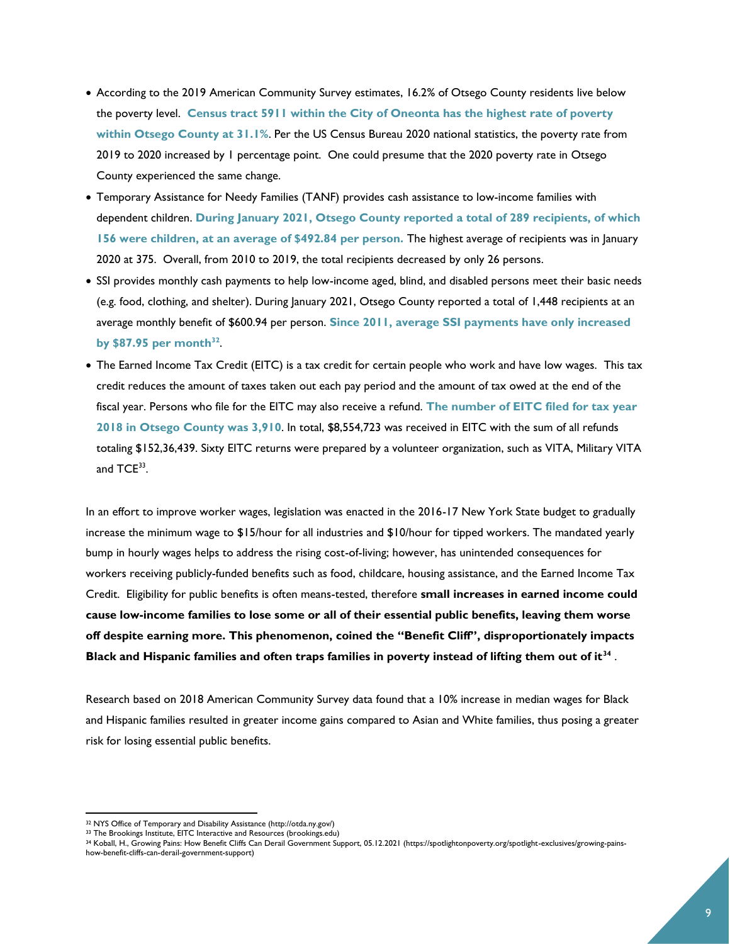- According to the 2019 American Community Survey estimates, 16.2% of Otsego County residents live below the poverty level. **Census tract 5911 within the City of Oneonta has the highest rate of poverty within Otsego County at 31.1%**. Per the US Census Bureau 2020 national statistics, the poverty rate from 2019 to 2020 increased by 1 percentage point. One could presume that the 2020 poverty rate in Otsego County experienced the same change.
- Temporary Assistance for Needy Families (TANF) provides cash assistance to low-income families with dependent children. **During January 2021, Otsego County reported a total of 289 recipients, of which 156 were children, at an average of \$492.84 per person.** The highest average of recipients was in January 2020 at 375. Overall, from 2010 to 2019, the total recipients decreased by only 26 persons.
- SSI provides monthly cash payments to help low-income aged, blind, and disabled persons meet their basic needs (e.g. food, clothing, and shelter). During January 2021, Otsego County reported a total of 1,448 recipients at an average monthly benefit of \$600.94 per person. **Since 2011, average SSI payments have only increased by \$87.95 per month<sup>32</sup>** .
- The Earned Income Tax Credit (EITC) is a tax credit for certain people who work and have low wages. This tax credit reduces the amount of taxes taken out each pay period and the amount of tax owed at the end of the fiscal year. Persons who file for the EITC may also receive a refund. **The number of EITC filed for tax year 2018 in Otsego County was 3,910**. In total, \$8,554,723 was received in EITC with the sum of all refunds totaling \$152,36,439. Sixty EITC returns were prepared by a volunteer organization, such as VITA, Military VITA and  $\mathsf{TCE}^{33}$ .

In an effort to improve worker wages, legislation was enacted in the 2016-17 New York State budget to gradually increase the minimum wage to \$15/hour for all industries and \$10/hour for tipped workers. The mandated yearly bump in hourly wages helps to address the rising cost-of-living; however, has unintended consequences for workers receiving publicly-funded benefits such as food, childcare, housing assistance, and the Earned Income Tax Credit. Eligibility for public benefits is often means-tested, therefore **small increases in earned income could cause low-income families to lose some or all of their essential public benefits, leaving them worse off despite earning more. This phenomenon, coined the "Benefit Cliff", disproportionately impacts Black and Hispanic families and often traps families in poverty instead of lifting them out of it<sup>34</sup>** .

Research based on 2018 American Community Survey data found that a 10% increase in median wages for Black and Hispanic families resulted in greater income gains compared to Asian and White families, thus posing a greater risk for losing essential public benefits.

 $\overline{\phantom{a}}$ 

<sup>32</sup> NYS Office of Temporary and Disability Assistance (http://otda.ny.gov/)

<sup>33</sup> The Brookings Institute, EITC Interactive and Resources (brookings.edu)

<sup>34</sup> Koball, H., Growing Pains: How Benefit Cliffs Can Derail Government Support, 05.12.2021 (https://spotlightonpoverty.org/spotlight-exclusives/growing-painshow-benefit-cliffs-can-derail-government-support)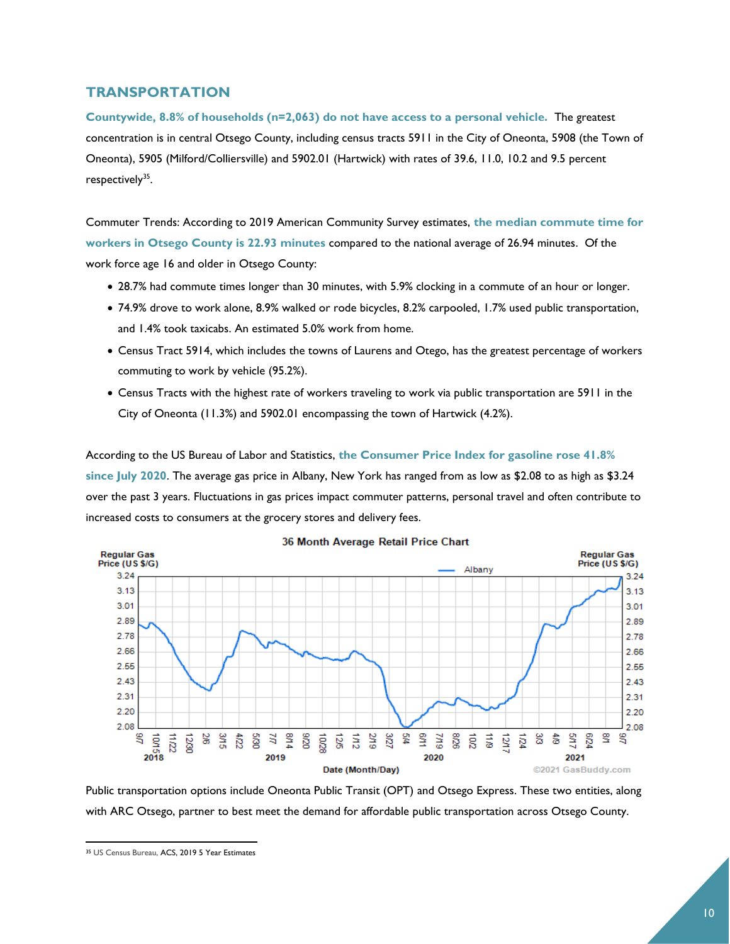# **TRANSPORTATION**

**Countywide, 8.8% of households (n=2,063) do not have access to a personal vehicle.** The greatest concentration is in central Otsego County, including census tracts 5911 in the City of Oneonta, 5908 (the Town of Oneonta), 5905 (Milford/Colliersville) and 5902.01 (Hartwick) with rates of 39.6, 11.0, 10.2 and 9.5 percent respectively<sup>35</sup>.

Commuter Trends: According to 2019 American Community Survey estimates, **the median commute time for workers in Otsego County is 22.93 minutes** compared to the national average of 26.94 minutes. Of the work force age 16 and older in Otsego County:

- 28.7% had commute times longer than 30 minutes, with 5.9% clocking in a commute of an hour or longer.
- 74.9% drove to work alone, 8.9% walked or rode bicycles, 8.2% carpooled, 1.7% used public transportation, and 1.4% took taxicabs. An estimated 5.0% work from home.
- Census Tract 5914, which includes the towns of Laurens and Otego, has the greatest percentage of workers commuting to work by vehicle (95.2%).
- Census Tracts with the highest rate of workers traveling to work via public transportation are 5911 in the City of Oneonta (11.3%) and 5902.01 encompassing the town of Hartwick (4.2%).

According to the US Bureau of Labor and Statistics, **the Consumer Price Index for gasoline rose 41.8% since July 2020**. The average gas price in Albany, New York has ranged from as low as \$2.08 to as high as \$3.24 over the past 3 years. Fluctuations in gas prices impact commuter patterns, personal travel and often contribute to increased costs to consumers at the grocery stores and delivery fees.



#### 36 Month Average Retail Price Chart

Public transportation options include Oneonta Public Transit (OPT) and Otsego Express. These two entities, along with ARC Otsego, partner to best meet the demand for affordable public transportation across Otsego County.

<sup>&</sup>lt;sup>35</sup> US Census Bureau, **ACS, 2019 5 Year Estimates**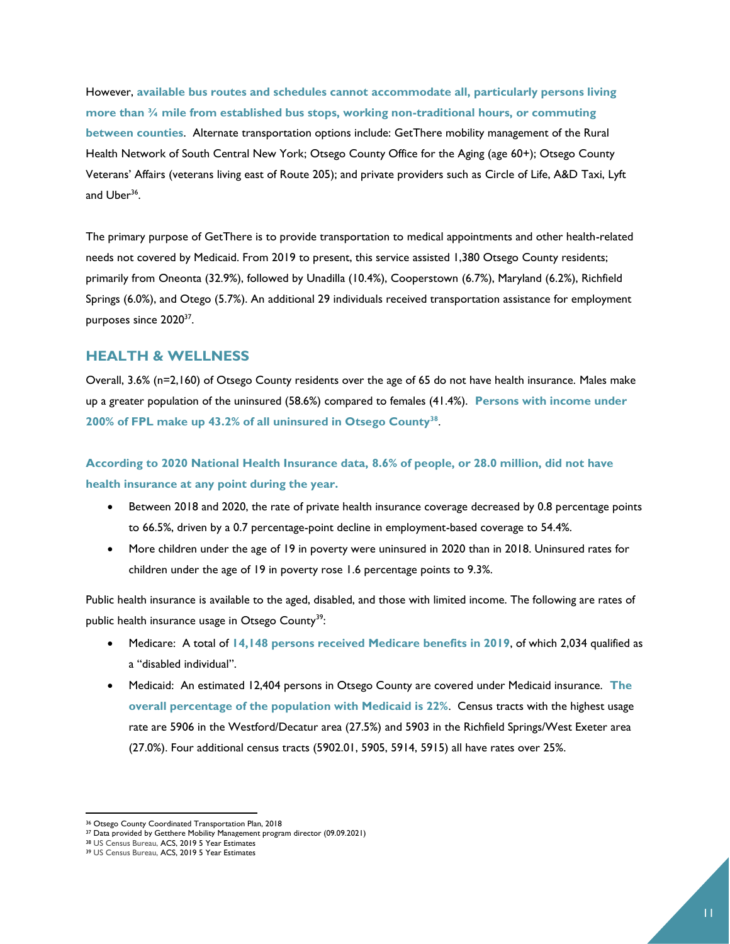However, **available bus routes and schedules cannot accommodate all, particularly persons living more than ¾ mile from established bus stops, working non-traditional hours, or commuting between counties**. Alternate transportation options include: GetThere mobility management of the Rural Health Network of South Central New York; Otsego County Office for the Aging (age 60+); Otsego County Veterans' Affairs (veterans living east of Route 205); and private providers such as Circle of Life, A&D Taxi, Lyft and Uber<sup>36</sup>.

The primary purpose of GetThere is to provide transportation to medical appointments and other health-related needs not covered by Medicaid. From 2019 to present, this service assisted 1,380 Otsego County residents; primarily from Oneonta (32.9%), followed by Unadilla (10.4%), Cooperstown (6.7%), Maryland (6.2%), Richfield Springs (6.0%), and Otego (5.7%). An additional 29 individuals received transportation assistance for employment purposes since 2020<sup>37</sup>.

## **HEALTH & WELLNESS**

Overall, 3.6% (n=2,160) of Otsego County residents over the age of 65 do not have health insurance. Males make up a greater population of the uninsured (58.6%) compared to females (41.4%). **Persons with income under 200% of FPL make up 43.2% of all uninsured in Otsego County<sup>38</sup>** .

**According to 2020 National Health Insurance data, 8.6% of people, or 28.0 million, did not have health insurance at any point during the year.**

- Between 2018 and 2020, the rate of private health insurance coverage decreased by 0.8 percentage points to 66.5%, driven by a 0.7 percentage-point decline in employment-based coverage to 54.4%.
- More children under the age of 19 in poverty were uninsured in 2020 than in 2018. Uninsured rates for children under the age of 19 in poverty rose 1.6 percentage points to 9.3%.

Public health insurance is available to the aged, disabled, and those with limited income. The following are rates of public health insurance usage in Otsego County<sup>39</sup>:

- Medicare: A total of **14,148 persons received Medicare benefits in 2019**, of which 2,034 qualified as a "disabled individual".
- Medicaid: An estimated 12,404 persons in Otsego County are covered under Medicaid insurance. **The overall percentage of the population with Medicaid is 22%**. Census tracts with the highest usage rate are 5906 in the Westford/Decatur area (27.5%) and 5903 in the Richfield Springs/West Exeter area (27.0%). Four additional census tracts (5902.01, 5905, 5914, 5915) all have rates over 25%.

 $\overline{\phantom{a}}$ <sup>36</sup> Otsego County Coordinated Transportation Plan, 2018

<sup>&</sup>lt;sup>37</sup> Data provided by Getthere Mobility Management program director (09.09.2021)

<sup>38</sup> US Census Bureau, ACS, 2019 5 Year Estimates

<sup>39</sup> US Census Bureau, ACS, 2019 5 Year Estimates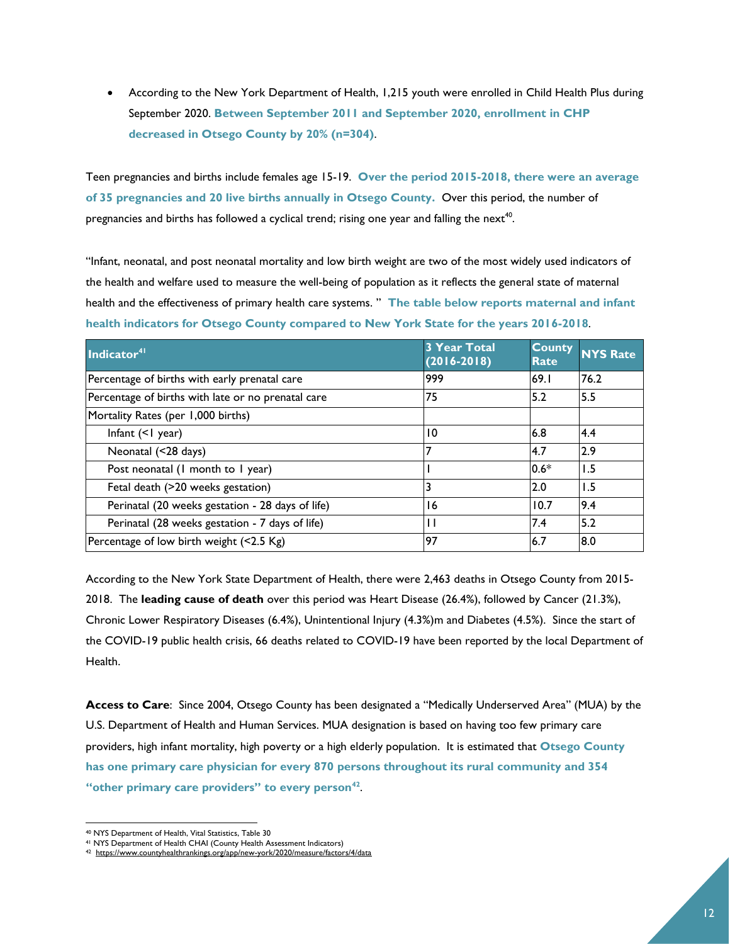According to the New York Department of Health, 1,215 youth were enrolled in Child Health Plus during September 2020. **Between September 2011 and September 2020, enrollment in CHP decreased in Otsego County by 20% (n=304)**.

Teen pregnancies and births include females age 15-19. **Over the period 2015-2018, there were an average of 35 pregnancies and 20 live births annually in Otsego County.** Over this period, the number of pregnancies and births has followed a cyclical trend; rising one year and falling the next<sup>40</sup>.

"Infant, neonatal, and post neonatal mortality and low birth weight are two of the most widely used indicators of the health and welfare used to measure the well-being of population as it reflects the general state of maternal health and the effectiveness of primary health care systems. " **The table below reports maternal and infant health indicators for Otsego County compared to New York State for the years 2016-2018**.

| Indicator <sup>41</sup>                            | <b>3 Year Total</b><br>$(2016 - 2018)$ | <b>County</b><br><b>Rate</b> | <b>NYS Rate</b> |
|----------------------------------------------------|----------------------------------------|------------------------------|-----------------|
| Percentage of births with early prenatal care      | 999                                    | 69.1                         | 76.2            |
| Percentage of births with late or no prenatal care | 75                                     | 5.2                          | 5.5             |
| Mortality Rates (per 1,000 births)                 |                                        |                              |                 |
| Infant $($ $ $ year)                               | 10                                     | 6.8                          | <b>4.4</b>      |
| Neonatal (<28 days)                                |                                        | 4.7                          | 2.9             |
| Post neonatal (1 month to 1 year)                  |                                        | $0.6*$                       | 1.5             |
| Fetal death (>20 weeks gestation)                  | 3                                      | 2.0                          | 1.5             |
| Perinatal (20 weeks gestation - 28 days of life)   | 16                                     | 10.7                         | 9.4             |
| Perinatal (28 weeks gestation - 7 days of life)    | Н                                      | 7.4                          | 5.2             |
| Percentage of low birth weight (<2.5 Kg)           | 197                                    | 6.7                          | 8.0             |

According to the New York State Department of Health, there were 2,463 deaths in Otsego County from 2015- 2018. The **leading cause of death** over this period was Heart Disease (26.4%), followed by Cancer (21.3%), Chronic Lower Respiratory Diseases (6.4%), Unintentional Injury (4.3%)m and Diabetes (4.5%). Since the start of the COVID-19 public health crisis, 66 deaths related to COVID-19 have been reported by the local Department of Health.

**Access to Care**: Since 2004, Otsego County has been designated a "Medically Underserved Area" (MUA) by the U.S. Department of Health and Human Services. MUA designation is based on having too few primary care providers, high infant mortality, high poverty or a high elderly population. It is estimated that **Otsego County has one primary care physician for every 870 persons throughout its rural community and 354 "other primary care providers" to every person<sup>42</sup>** .

 <sup>40</sup> NYS Department of Health, Vital Statistics, Table 30

<sup>41</sup> NYS Department of Health CHAI (County Health Assessment Indicators)

<sup>42</sup> https://www.countyhealthrankings.org/app/new-york/2020/measure/factors/4/data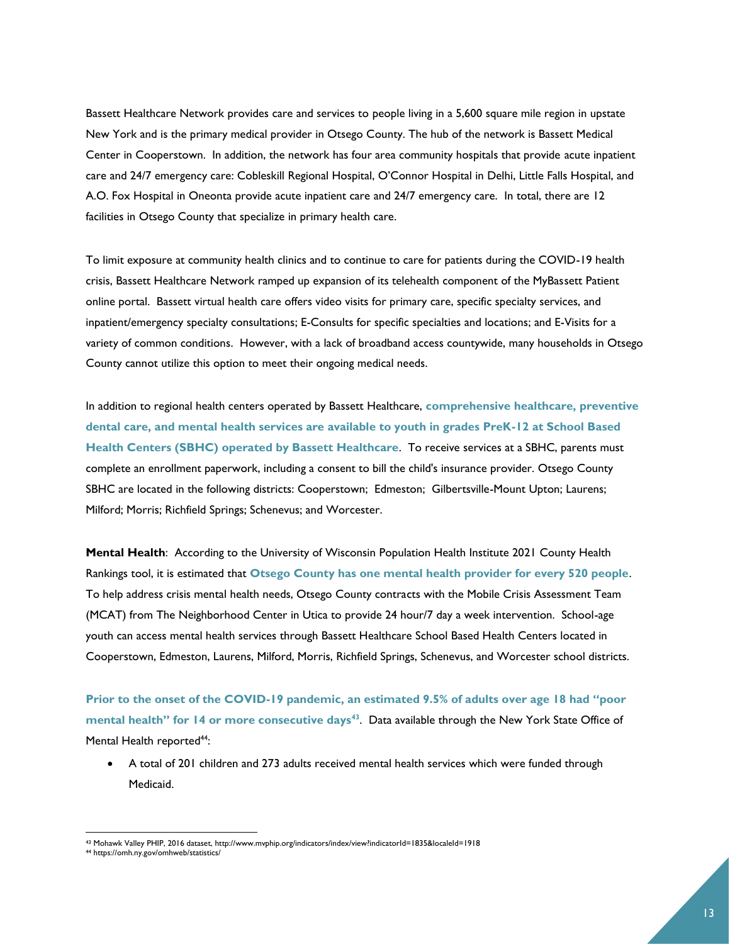Bassett Healthcare Network provides care and services to people living in a 5,600 square mile region in upstate New York and is the primary medical provider in Otsego County. The hub of the network is Bassett Medical Center in Cooperstown. In addition, the network has four area community hospitals that provide acute inpatient care and 24/7 emergency care: Cobleskill Regional Hospital, O'Connor Hospital in Delhi, Little Falls Hospital, and A.O. Fox Hospital in Oneonta provide acute inpatient care and 24/7 emergency care. In total, there are 12 facilities in Otsego County that specialize in primary health care.

To limit exposure at community health clinics and to continue to care for patients during the COVID-19 health crisis, Bassett Healthcare Network ramped up expansion of its telehealth component of the MyBassett Patient online portal. Bassett virtual health care offers video visits for primary care, specific specialty services, and inpatient/emergency specialty consultations; E-Consults for specific specialties and locations; and E-Visits for a variety of common conditions. However, with a lack of broadband access countywide, many households in Otsego County cannot utilize this option to meet their ongoing medical needs.

In addition to regional health centers operated by Bassett Healthcare, **comprehensive healthcare, preventive dental care, and mental health services are available to youth in grades PreK-12 at School Based Health Centers (SBHC) operated by Bassett Healthcare**. To receive services at a SBHC, parents must complete an enrollment paperwork, including a consent to bill the child's insurance provider. Otsego County SBHC are located in the following districts: Cooperstown; Edmeston; Gilbertsville-Mount Upton; Laurens; Milford; Morris; Richfield Springs; Schenevus; and Worcester.

**Mental Health**: According to the University of Wisconsin Population Health Institute 2021 County Health Rankings tool, it is estimated that **Otsego County has one mental health provider for every 520 people**. To help address crisis mental health needs, Otsego County contracts with the Mobile Crisis Assessment Team (MCAT) from The Neighborhood Center in Utica to provide 24 hour/7 day a week intervention. School-age youth can access mental health services through Bassett Healthcare School Based Health Centers located in Cooperstown, Edmeston, Laurens, Milford, Morris, Richfield Springs, Schenevus, and Worcester school districts.

**Prior to the onset of the COVID-19 pandemic, an estimated 9.5% of adults over age 18 had "poor mental health" for 14 or more consecutive days<sup>43</sup>** . Data available through the New York State Office of Mental Health reported<sup>44</sup>:

 A total of 201 children and 273 adults received mental health services which were funded through Medicaid.

 $\overline{a}$ 

<sup>43</sup> Mohawk Valley PHIP, 2016 dataset, http://www.mvphip.org/indicators/index/view?indicatorId=1835&localeId=1918

<sup>44</sup> https://omh.ny.gov/omhweb/statistics/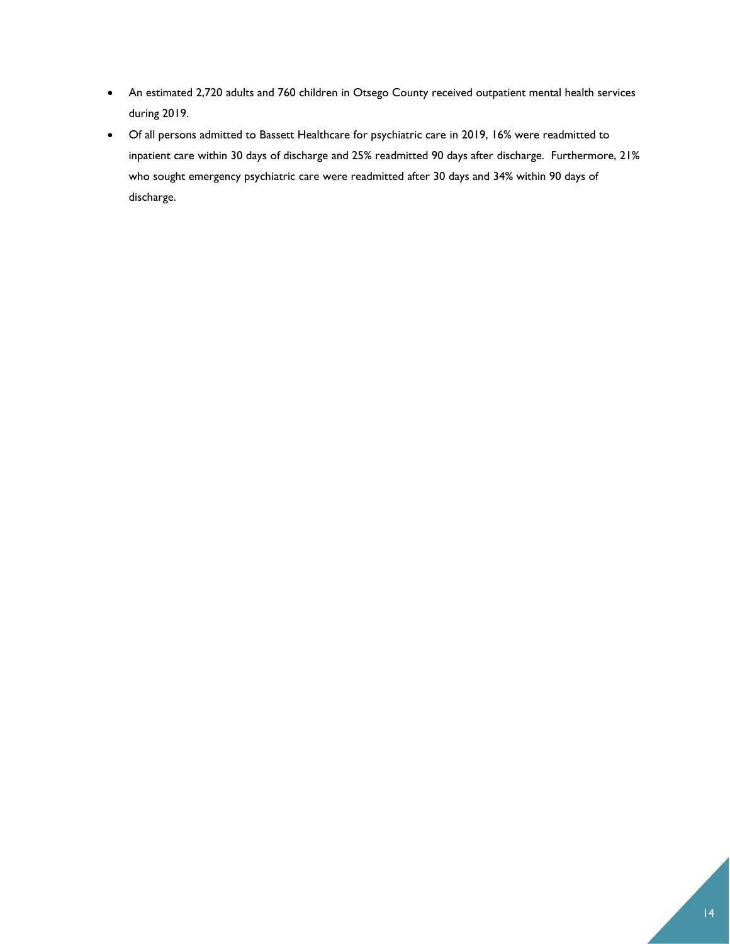- An estimated 2,720 adults and 760 children in Otsego County received outpatient mental health services during 2019.
- Of all persons admitted to Bassett Healthcare for psychiatric care in 2019, 16% were readmitted to inpatient care within 30 days of discharge and 25% readmitted 90 days after discharge. Furthermore, 21% who sought emergency psychiatric care were readmitted after 30 days and 34% within 90 days of discharge.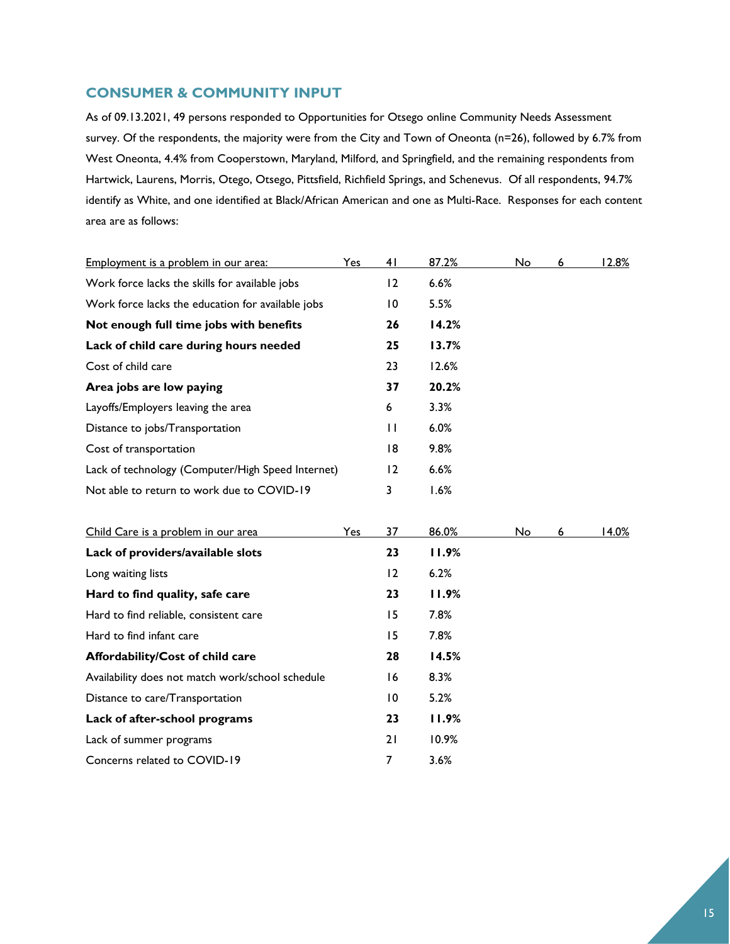# **CONSUMER & COMMUNITY INPUT**

As of 09.13.2021, 49 persons responded to Opportunities for Otsego online Community Needs Assessment survey. Of the respondents, the majority were from the City and Town of Oneonta (n=26), followed by 6.7% from West Oneonta, 4.4% from Cooperstown, Maryland, Milford, and Springfield, and the remaining respondents from Hartwick, Laurens, Morris, Otego, Otsego, Pittsfield, Richfield Springs, and Schenevus. Of all respondents, 94.7% identify as White, and one identified at Black/African American and one as Multi-Race. Responses for each content area are as follows:

| Employment is a problem in our area:              | Yes | 41             | 87.2% | No | 6 | 12.8% |
|---------------------------------------------------|-----|----------------|-------|----|---|-------|
| Work force lacks the skills for available jobs    |     | 12             | 6.6%  |    |   |       |
| Work force lacks the education for available jobs |     | 10             | 5.5%  |    |   |       |
| Not enough full time jobs with benefits           |     | 26             | 14.2% |    |   |       |
| Lack of child care during hours needed            |     | 25             | 13.7% |    |   |       |
| Cost of child care                                |     | 23             | 12.6% |    |   |       |
| Area jobs are low paying                          |     | 37             | 20.2% |    |   |       |
| Layoffs/Employers leaving the area                |     | 6              | 3.3%  |    |   |       |
| Distance to jobs/Transportation                   |     | $\mathsf{L}$   | 6.0%  |    |   |       |
| Cost of transportation                            |     | 18             | 9.8%  |    |   |       |
| Lack of technology (Computer/High Speed Internet) |     | $\overline{2}$ | 6.6%  |    |   |       |
| Not able to return to work due to COVID-19        |     | 3              | 1.6%  |    |   |       |

| Child Care is a problem in our area              | Yes | 37 | 86.0% | No | 6 | <u>14.0%</u> |
|--------------------------------------------------|-----|----|-------|----|---|--------------|
| Lack of providers/available slots                |     | 23 | 11.9% |    |   |              |
| Long waiting lists                               |     | 12 | 6.2%  |    |   |              |
| Hard to find quality, safe care                  |     | 23 | 11.9% |    |   |              |
| Hard to find reliable, consistent care           |     | 15 | 7.8%  |    |   |              |
| Hard to find infant care                         |     | 15 | 7.8%  |    |   |              |
| Affordability/Cost of child care                 |     | 28 | 14.5% |    |   |              |
| Availability does not match work/school schedule |     | 16 | 8.3%  |    |   |              |
| Distance to care/Transportation                  |     | 10 | 5.2%  |    |   |              |
| Lack of after-school programs                    |     | 23 | 11.9% |    |   |              |
| Lack of summer programs                          |     | 21 | 10.9% |    |   |              |
| Concerns related to COVID-19                     |     | 7  | 3.6%  |    |   |              |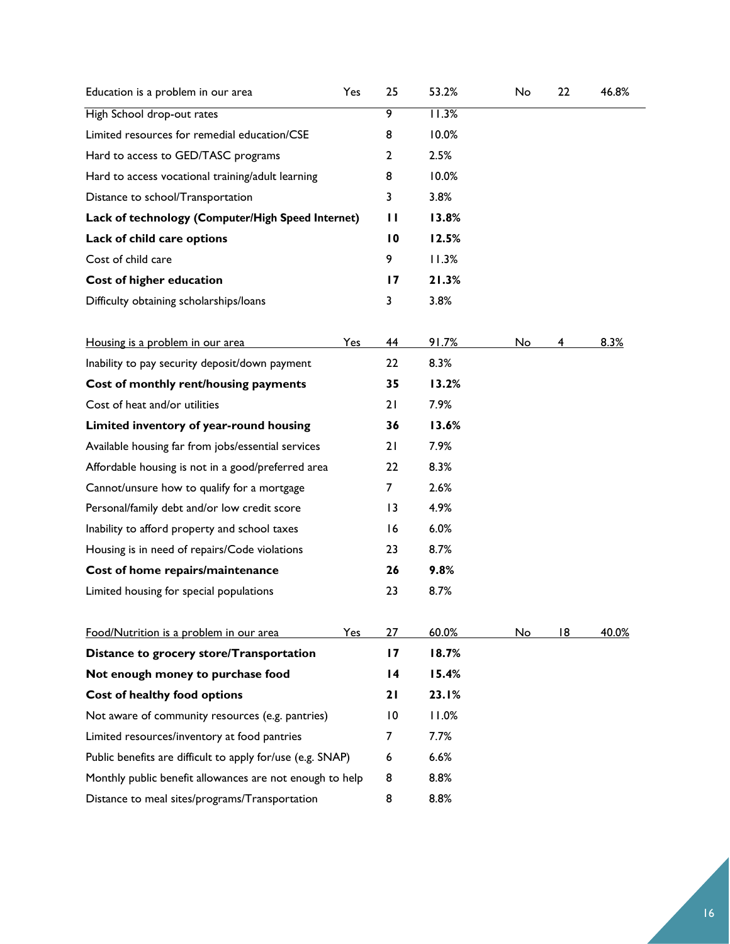| Education is a problem in our area                         | Yes | 25              | 53.2% | No  | 22 | 46.8% |
|------------------------------------------------------------|-----|-----------------|-------|-----|----|-------|
| High School drop-out rates                                 |     | 9               | 11.3% |     |    |       |
| Limited resources for remedial education/CSE               |     | 8               | 10.0% |     |    |       |
| Hard to access to GED/TASC programs                        |     | 2               | 2.5%  |     |    |       |
| Hard to access vocational training/adult learning          |     | 8               | 10.0% |     |    |       |
| Distance to school/Transportation                          |     | 3               | 3.8%  |     |    |       |
| Lack of technology (Computer/High Speed Internet)          |     | $\mathbf{H}$    | 13.8% |     |    |       |
| Lack of child care options                                 |     | 10              | 12.5% |     |    |       |
| Cost of child care                                         |     | 9               | 11.3% |     |    |       |
| Cost of higher education                                   |     | $\overline{17}$ | 21.3% |     |    |       |
| Difficulty obtaining scholarships/loans                    |     | 3               | 3.8%  |     |    |       |
| Housing is a problem in our area                           | Yes | 44              | 91.7% | No. | 4  | 8.3%  |
| Inability to pay security deposit/down payment             |     | 22              | 8.3%  |     |    |       |
| Cost of monthly rent/housing payments                      |     | 35              | 13.2% |     |    |       |
| Cost of heat and/or utilities                              |     | 21              | 7.9%  |     |    |       |
| Limited inventory of year-round housing                    |     | 36              | 13.6% |     |    |       |
| Available housing far from jobs/essential services         |     | 21              | 7.9%  |     |    |       |
| Affordable housing is not in a good/preferred area         |     | 22              | 8.3%  |     |    |       |
| Cannot/unsure how to qualify for a mortgage                |     | $\overline{7}$  | 2.6%  |     |    |       |
| Personal/family debt and/or low credit score               |     | $\overline{13}$ | 4.9%  |     |    |       |
| Inability to afford property and school taxes              |     | 16              | 6.0%  |     |    |       |
| Housing is in need of repairs/Code violations              |     | 23              | 8.7%  |     |    |       |
| Cost of home repairs/maintenance                           |     | 26              | 9.8%  |     |    |       |
| Limited housing for special populations                    |     | 23              | 8.7%  |     |    |       |
| Food/Nutrition is a problem in our area                    | Yes | 27              | 60.0% | No  | 18 | 40.0% |
| Distance to grocery store/Transportation                   |     | 17              | 18.7% |     |    |       |
| Not enough money to purchase food                          |     | $\overline{14}$ | 15.4% |     |    |       |
| Cost of healthy food options                               |     | 21              | 23.I% |     |    |       |
| Not aware of community resources (e.g. pantries)           |     | 10              | 11.0% |     |    |       |
| Limited resources/inventory at food pantries               |     | 7               | 7.7%  |     |    |       |
| Public benefits are difficult to apply for/use (e.g. SNAP) |     | 6               | 6.6%  |     |    |       |
| Monthly public benefit allowances are not enough to help   |     | 8               | 8.8%  |     |    |       |
| Distance to meal sites/programs/Transportation             |     | 8               | 8.8%  |     |    |       |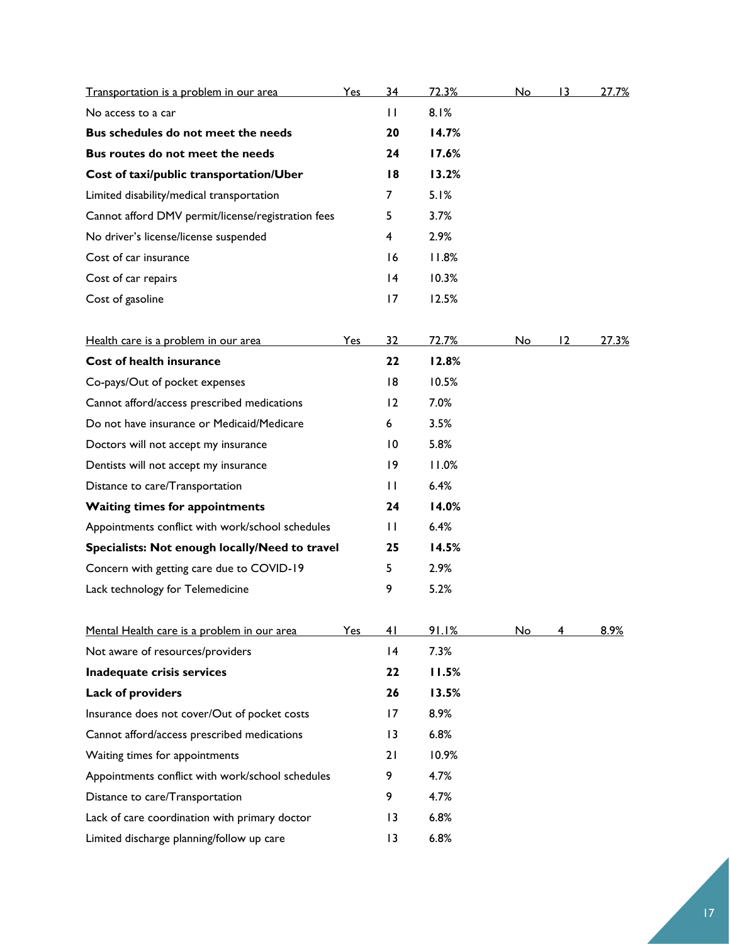| Transportation is a problem in our area            | <b>Yes</b> | <u>34</u>       | 72.3% | No | 13 | 27.7% |
|----------------------------------------------------|------------|-----------------|-------|----|----|-------|
| No access to a car                                 |            | $\mathbf{H}$    | 8.1%  |    |    |       |
| Bus schedules do not meet the needs                |            | 20              | 14.7% |    |    |       |
| Bus routes do not meet the needs                   |            | 24              | 17.6% |    |    |       |
| Cost of taxi/public transportation/Uber            |            | 18              | 13.2% |    |    |       |
| Limited disability/medical transportation          |            | 7               | 5.1%  |    |    |       |
| Cannot afford DMV permit/license/registration fees |            | 5               | 3.7%  |    |    |       |
| No driver's license/license suspended              |            | 4               | 2.9%  |    |    |       |
| Cost of car insurance                              |            | 16              | 11.8% |    |    |       |
| Cost of car repairs                                |            | 4               | 10.3% |    |    |       |
| Cost of gasoline                                   |            | 17              | 12.5% |    |    |       |
| Health care is a problem in our area               | Yes        | 32              | 72.7% | No | 12 | 27.3% |
| Cost of health insurance                           |            | 22              | 12.8% |    |    |       |
| Co-pays/Out of pocket expenses                     |            | 18              | 10.5% |    |    |       |
| Cannot afford/access prescribed medications        |            | 12              | 7.0%  |    |    |       |
| Do not have insurance or Medicaid/Medicare         |            | 6               | 3.5%  |    |    |       |
| Doctors will not accept my insurance               |            | $\overline{10}$ | 5.8%  |    |    |       |
| Dentists will not accept my insurance              |            | 9               | 11.0% |    |    |       |
| Distance to care/Transportation                    |            | $\mathbf{H}$    | 6.4%  |    |    |       |
| <b>Waiting times for appointments</b>              |            | 24              | 14.0% |    |    |       |
| Appointments conflict with work/school schedules   |            | $\mathbf{H}$    | 6.4%  |    |    |       |
| Specialists: Not enough locally/Need to travel     |            | 25              | 14.5% |    |    |       |
| Concern with getting care due to COVID-19          |            | 5               | 2.9%  |    |    |       |
| Lack technology for Telemedicine                   |            | 9               | 5.2%  |    |    |       |
| Mental Health care is a problem in our area        | <u>Yes</u> | 41              | 91.1% | No | 4  | 8.9%  |
| Not aware of resources/providers                   |            | 4               | 7.3%  |    |    |       |
| Inadequate crisis services                         |            | 22              | 11.5% |    |    |       |
| <b>Lack of providers</b>                           |            | 26              | 13.5% |    |    |       |
| Insurance does not cover/Out of pocket costs       |            | 17              | 8.9%  |    |    |       |
| Cannot afford/access prescribed medications        |            | $\overline{13}$ | 6.8%  |    |    |       |
| Waiting times for appointments                     |            | 21              | 10.9% |    |    |       |
| Appointments conflict with work/school schedules   |            | 9               | 4.7%  |    |    |       |
| Distance to care/Transportation                    |            | 9               | 4.7%  |    |    |       |
| Lack of care coordination with primary doctor      |            | $\overline{13}$ | 6.8%  |    |    |       |
| Limited discharge planning/follow up care          |            | 13              | 6.8%  |    |    |       |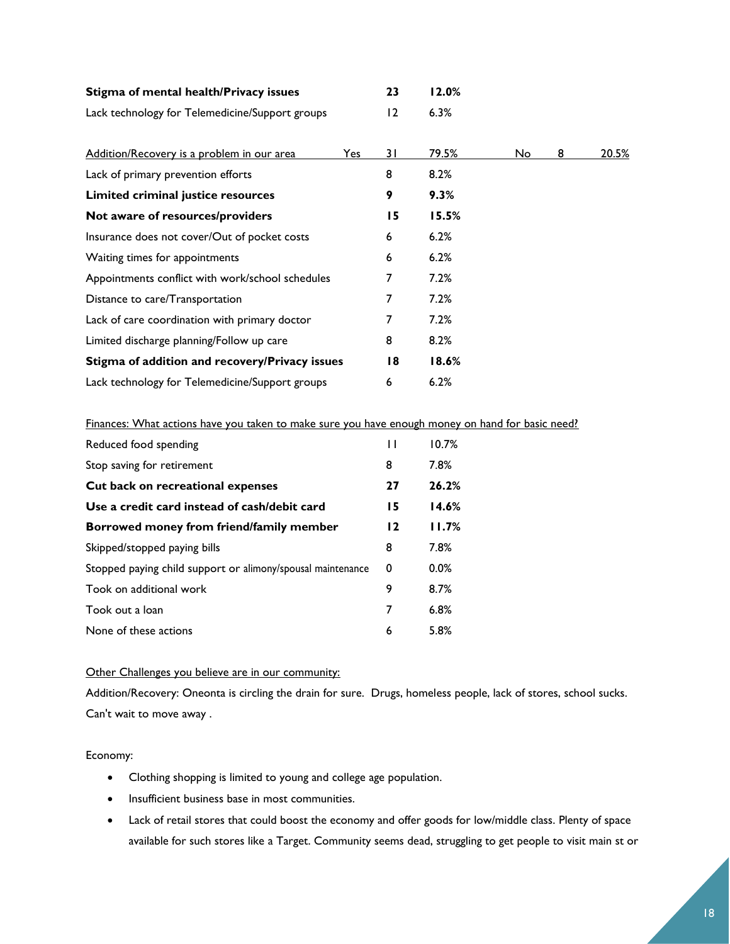| Stigma of mental health/Privacy issues          | -23 | 12.0% |
|-------------------------------------------------|-----|-------|
| Lack technology for Telemedicine/Support groups |     | 6.3%  |

| Addition/Recovery is a problem in our area       | Yes | 31 | 79.5% | No | 8 | 20.5% |
|--------------------------------------------------|-----|----|-------|----|---|-------|
| Lack of primary prevention efforts               |     | 8  | 8.2%  |    |   |       |
| Limited criminal justice resources               |     | 9  | 9.3%  |    |   |       |
| Not aware of resources/providers                 |     | 15 | 15.5% |    |   |       |
| Insurance does not cover/Out of pocket costs     |     | 6  | 6.2%  |    |   |       |
| Waiting times for appointments                   |     | 6  | 6.2%  |    |   |       |
| Appointments conflict with work/school schedules |     | 7  | 7.2%  |    |   |       |
| Distance to care/Transportation                  |     | 7  | 7.2%  |    |   |       |
| Lack of care coordination with primary doctor    |     | 7  | 7.2%  |    |   |       |
| Limited discharge planning/Follow up care        |     | 8  | 8.2%  |    |   |       |
| Stigma of addition and recovery/Privacy issues   |     | 18 | 18.6% |    |   |       |
| Lack technology for Telemedicine/Support groups  |     | 6  | 6.2%  |    |   |       |

Finances: What actions have you taken to make sure you have enough money on hand for basic need?

| Reduced food spending                                       | П  | 10.7% |
|-------------------------------------------------------------|----|-------|
| Stop saving for retirement                                  | 8  | 7.8%  |
| Cut back on recreational expenses                           | 27 | 26.2% |
| Use a credit card instead of cash/debit card                | 15 | 14.6% |
| Borrowed money from friend/family member                    | 12 | 11.7% |
| Skipped/stopped paying bills                                | 8  | 7.8%  |
| Stopped paying child support or alimony/spousal maintenance | 0  | 0.0%  |
| Took on additional work                                     | 9  | 8.7%  |
| Took out a loan                                             | 7  | 6.8%  |
| None of these actions                                       | 6  | 5.8%  |

### Other Challenges you believe are in our community:

Addition/Recovery: Oneonta is circling the drain for sure. Drugs, homeless people, lack of stores, school sucks. Can't wait to move away .

#### Economy:

- Clothing shopping is limited to young and college age population.
- Insufficient business base in most communities.
- Lack of retail stores that could boost the economy and offer goods for low/middle class. Plenty of space available for such stores like a Target. Community seems dead, struggling to get people to visit main st or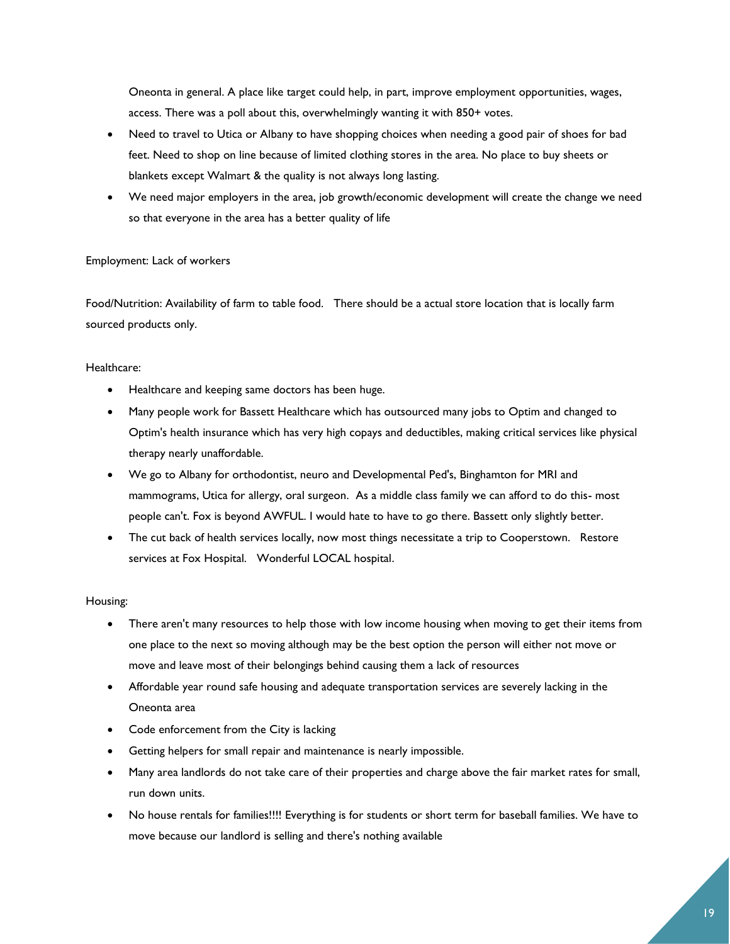Oneonta in general. A place like target could help, in part, improve employment opportunities, wages, access. There was a poll about this, overwhelmingly wanting it with 850+ votes.

- Need to travel to Utica or Albany to have shopping choices when needing a good pair of shoes for bad feet. Need to shop on line because of limited clothing stores in the area. No place to buy sheets or blankets except Walmart & the quality is not always long lasting.
- We need major employers in the area, job growth/economic development will create the change we need so that everyone in the area has a better quality of life

### Employment: Lack of workers

Food/Nutrition: Availability of farm to table food. There should be a actual store location that is locally farm sourced products only.

### Healthcare:

- Healthcare and keeping same doctors has been huge.
- Many people work for Bassett Healthcare which has outsourced many jobs to Optim and changed to Optim's health insurance which has very high copays and deductibles, making critical services like physical therapy nearly unaffordable.
- We go to Albany for orthodontist, neuro and Developmental Ped's, Binghamton for MRI and mammograms, Utica for allergy, oral surgeon. As a middle class family we can afford to do this- most people can't. Fox is beyond AWFUL. I would hate to have to go there. Bassett only slightly better.
- The cut back of health services locally, now most things necessitate a trip to Cooperstown. Restore services at Fox Hospital. Wonderful LOCAL hospital.

### Housing:

- There aren't many resources to help those with low income housing when moving to get their items from one place to the next so moving although may be the best option the person will either not move or move and leave most of their belongings behind causing them a lack of resources
- Affordable year round safe housing and adequate transportation services are severely lacking in the Oneonta area
- Code enforcement from the City is lacking
- Getting helpers for small repair and maintenance is nearly impossible.
- Many area landlords do not take care of their properties and charge above the fair market rates for small, run down units.
- No house rentals for families!!!! Everything is for students or short term for baseball families. We have to move because our landlord is selling and there's nothing available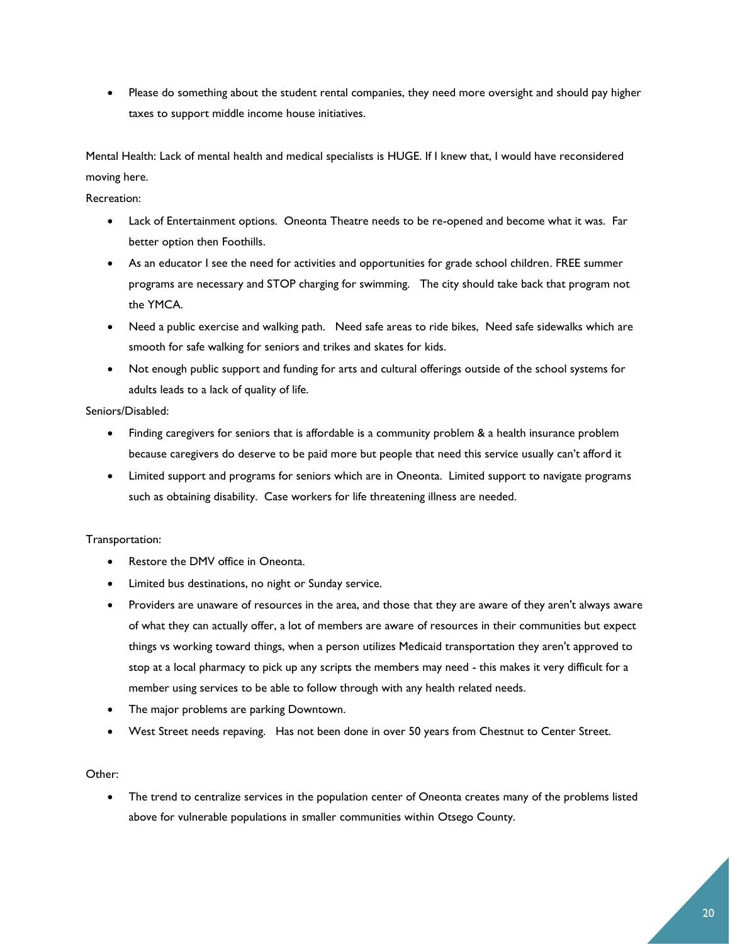Please do something about the student rental companies, they need more oversight and should pay higher taxes to support middle income house initiatives.

Mental Health: Lack of mental health and medical specialists is HUGE. If I knew that, I would have reconsidered moving here.

### Recreation:

- Lack of Entertainment options. Oneonta Theatre needs to be re-opened and become what it was. Far better option then Foothills.
- As an educator I see the need for activities and opportunities for grade school children. FREE summer programs are necessary and STOP charging for swimming. The city should take back that program not the YMCA.
- Need a public exercise and walking path. Need safe areas to ride bikes, Need safe sidewalks which are smooth for safe walking for seniors and trikes and skates for kids.
- Not enough public support and funding for arts and cultural offerings outside of the school systems for adults leads to a lack of quality of life.

### Seniors/Disabled:

- Finding caregivers for seniors that is affordable is a community problem & a health insurance problem because caregivers do deserve to be paid more but people that need this service usually can't afford it
- Limited support and programs for seniors which are in Oneonta. Limited support to navigate programs such as obtaining disability. Case workers for life threatening illness are needed.

## Transportation:

- Restore the DMV office in Oneonta.
- Limited bus destinations, no night or Sunday service.
- Providers are unaware of resources in the area, and those that they are aware of they aren't always aware of what they can actually offer, a lot of members are aware of resources in their communities but expect things vs working toward things, when a person utilizes Medicaid transportation they aren't approved to stop at a local pharmacy to pick up any scripts the members may need - this makes it very difficult for a member using services to be able to follow through with any health related needs.
- The major problems are parking Downtown.
- West Street needs repaving. Has not been done in over 50 years from Chestnut to Center Street.

### Other:

• The trend to centralize services in the population center of Oneonta creates many of the problems listed above for vulnerable populations in smaller communities within Otsego County.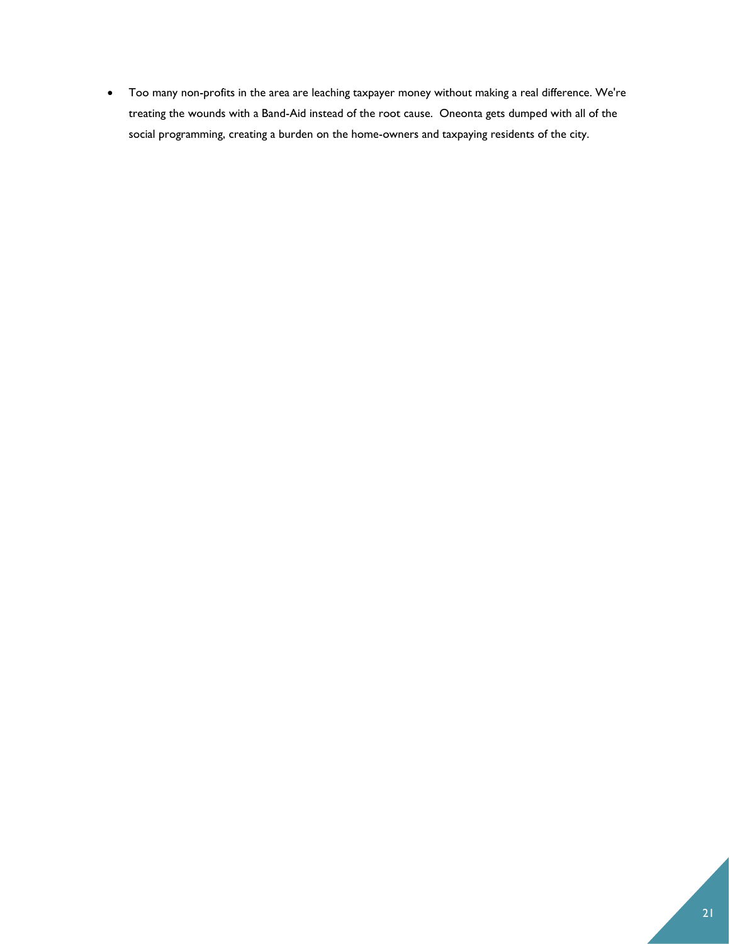Too many non-profits in the area are leaching taxpayer money without making a real difference. We're treating the wounds with a Band-Aid instead of the root cause. Oneonta gets dumped with all of the social programming, creating a burden on the home-owners and taxpaying residents of the city.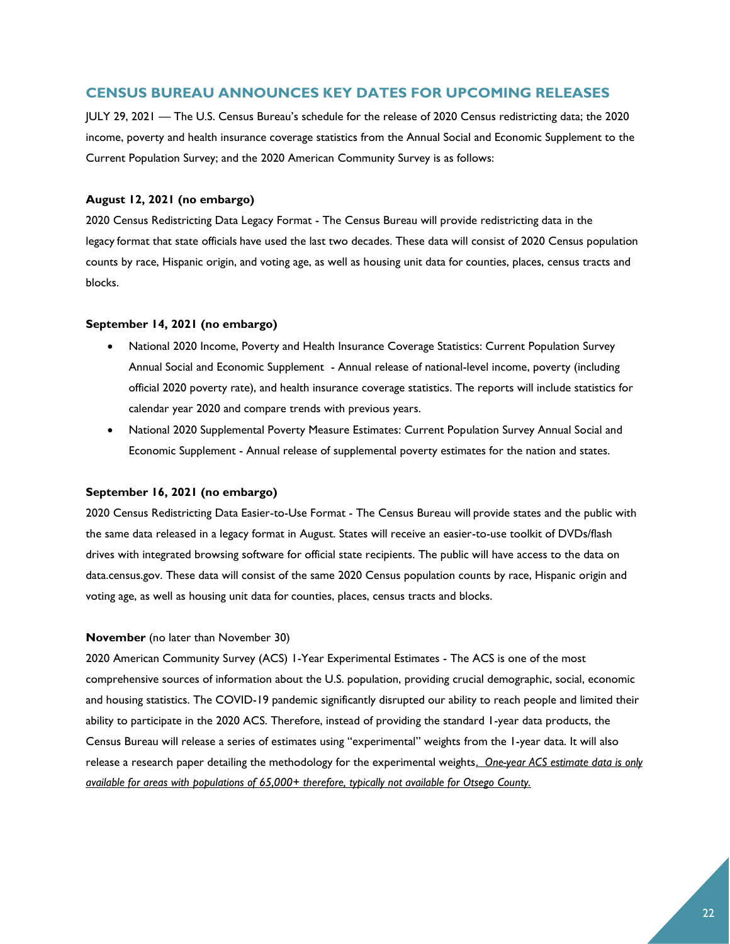# **CENSUS BUREAU ANNOUNCES KEY DATES FOR UPCOMING RELEASES**

JULY 29, 2021 — The U.S. Census Bureau's schedule for the release of 2020 Census redistricting data; the 2020 income, poverty and health insurance coverage statistics from the Annual Social and Economic Supplement to the Current Population Survey; and the 2020 American Community Survey is as follows:

#### **August 12, 2021 (no embargo)**

2020 Census Redistricting Data Legacy Format - The Census Bureau will provide redistricting data in the legacy format that state officials have used the last two decades. These data will consist of 2020 Census population counts by race, Hispanic origin, and voting age, as well as housing unit data for counties, places, census tracts and blocks.

#### **September 14, 2021 (no embargo)**

- National 2020 Income, Poverty and Health Insurance Coverage Statistics: Current Population Survey Annual Social and Economic Supplement - Annual release of national-level income, poverty (including official 2020 poverty rate), and health insurance coverage statistics. The reports will include statistics for calendar year 2020 and compare trends with previous years.
- National 2020 Supplemental Poverty Measure Estimates: Current Population Survey Annual Social and Economic Supplement - Annual release of supplemental poverty estimates for the nation and states.

### **September 16, 2021 (no embargo)**

2020 Census Redistricting Data Easier-to-Use Format - The Census Bureau will provide states and the public with the same data released in a legacy format in August. States will receive an easier-to-use toolkit of DVDs/flash drives with integrated browsing software for official state recipients. The public will have access to the data on data.census.gov. These data will consist of the same 2020 Census population counts by race, Hispanic origin and voting age, as well as housing unit data for counties, places, census tracts and blocks.

#### **November** (no later than November 30)

2020 American Community Survey (ACS) 1-Year Experimental Estimates - The ACS is one of the most comprehensive sources of information about the U.S. population, providing crucial demographic, social, economic and housing statistics. The COVID-19 pandemic significantly disrupted our ability to reach people and limited their ability to participate in the 2020 ACS. Therefore, instead of providing the standard 1-year data products, the Census Bureau will release a series of estimates using "experimental" weights from the 1-year data. It will also release a research paper detailing the methodology for the experimental weights. *One-year ACS estimate data is only available for areas with populations of 65,000+ therefore, typically not available for Otsego County.*